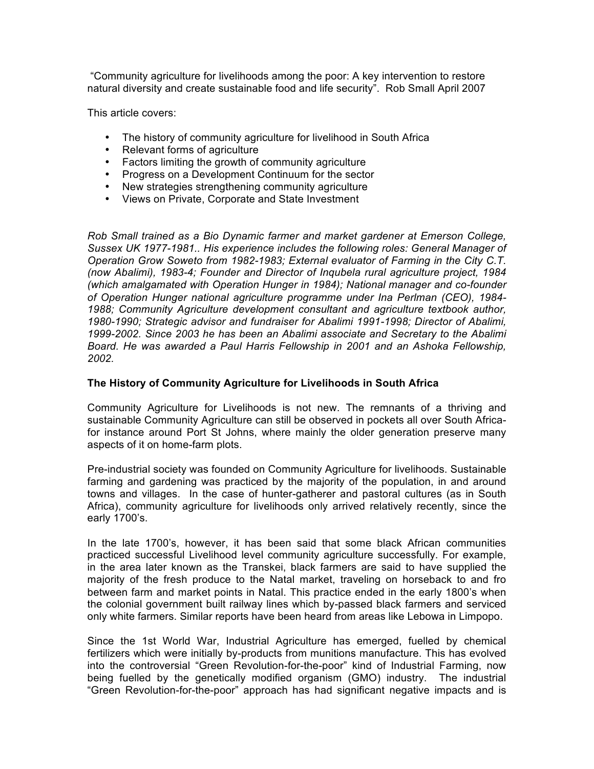"Community agriculture for livelihoods among the poor: A key intervention to restore natural diversity and create sustainable food and life security". Rob Small April 2007

This article covers:

- The history of community agriculture for livelihood in South Africa
- Relevant forms of agriculture
- Factors limiting the growth of community agriculture
- Progress on a Development Continuum for the sector
- New strategies strengthening community agriculture
- Views on Private, Corporate and State Investment

*Rob Small trained as a Bio Dynamic farmer and market gardener at Emerson College, Sussex UK 1977-1981.. His experience includes the following roles: General Manager of Operation Grow Soweto from 1982-1983; External evaluator of Farming in the City C.T. (now Abalimi), 1983-4; Founder and Director of Inqubela rural agriculture project, 1984 (which amalgamated with Operation Hunger in 1984); National manager and co-founder of Operation Hunger national agriculture programme under Ina Perlman (CEO), 1984- 1988; Community Agriculture development consultant and agriculture textbook author, 1980-1990; Strategic advisor and fundraiser for Abalimi 1991-1998; Director of Abalimi, 1999-2002. Since 2003 he has been an Abalimi associate and Secretary to the Abalimi Board. He was awarded a Paul Harris Fellowship in 2001 and an Ashoka Fellowship, 2002.*

## **The History of Community Agriculture for Livelihoods in South Africa**

Community Agriculture for Livelihoods is not new. The remnants of a thriving and sustainable Community Agriculture can still be observed in pockets all over South Africafor instance around Port St Johns, where mainly the older generation preserve many aspects of it on home-farm plots.

Pre-industrial society was founded on Community Agriculture for livelihoods. Sustainable farming and gardening was practiced by the majority of the population, in and around towns and villages. In the case of hunter-gatherer and pastoral cultures (as in South Africa), community agriculture for livelihoods only arrived relatively recently, since the early 1700's.

In the late 1700's, however, it has been said that some black African communities practiced successful Livelihood level community agriculture successfully. For example, in the area later known as the Transkei, black farmers are said to have supplied the majority of the fresh produce to the Natal market, traveling on horseback to and fro between farm and market points in Natal. This practice ended in the early 1800's when the colonial government built railway lines which by-passed black farmers and serviced only white farmers. Similar reports have been heard from areas like Lebowa in Limpopo.

Since the 1st World War, Industrial Agriculture has emerged, fuelled by chemical fertilizers which were initially by-products from munitions manufacture. This has evolved into the controversial "Green Revolution-for-the-poor" kind of Industrial Farming, now being fuelled by the genetically modified organism (GMO) industry. The industrial "Green Revolution-for-the-poor" approach has had significant negative impacts and is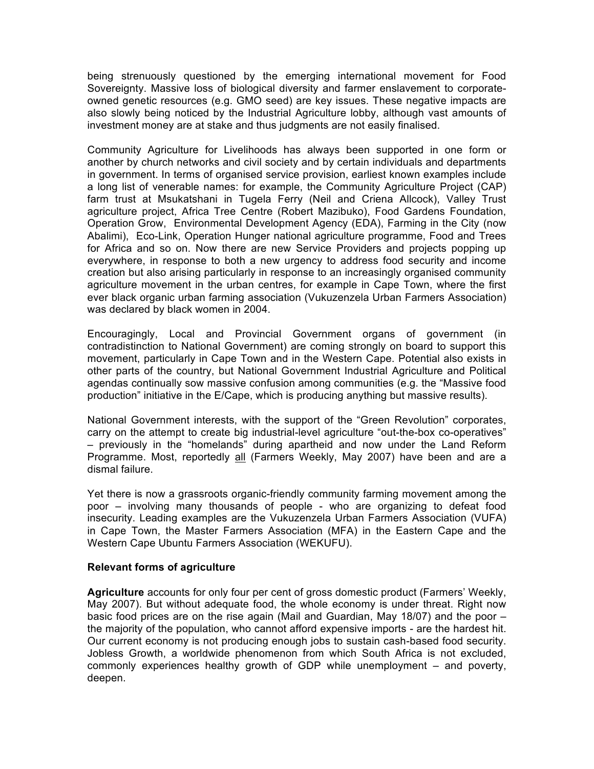being strenuously questioned by the emerging international movement for Food Sovereignty. Massive loss of biological diversity and farmer enslavement to corporateowned genetic resources (e.g. GMO seed) are key issues. These negative impacts are also slowly being noticed by the Industrial Agriculture lobby, although vast amounts of investment money are at stake and thus judgments are not easily finalised.

Community Agriculture for Livelihoods has always been supported in one form or another by church networks and civil society and by certain individuals and departments in government. In terms of organised service provision, earliest known examples include a long list of venerable names: for example, the Community Agriculture Project (CAP) farm trust at Msukatshani in Tugela Ferry (Neil and Criena Allcock), Valley Trust agriculture project, Africa Tree Centre (Robert Mazibuko), Food Gardens Foundation, Operation Grow, Environmental Development Agency (EDA), Farming in the City (now Abalimi), Eco-Link, Operation Hunger national agriculture programme, Food and Trees for Africa and so on. Now there are new Service Providers and projects popping up everywhere, in response to both a new urgency to address food security and income creation but also arising particularly in response to an increasingly organised community agriculture movement in the urban centres, for example in Cape Town, where the first ever black organic urban farming association (Vukuzenzela Urban Farmers Association) was declared by black women in 2004.

Encouragingly, Local and Provincial Government organs of government (in contradistinction to National Government) are coming strongly on board to support this movement, particularly in Cape Town and in the Western Cape. Potential also exists in other parts of the country, but National Government Industrial Agriculture and Political agendas continually sow massive confusion among communities (e.g. the "Massive food production" initiative in the E/Cape, which is producing anything but massive results).

National Government interests, with the support of the "Green Revolution" corporates, carry on the attempt to create big industrial-level agriculture "out-the-box co-operatives" – previously in the "homelands" during apartheid and now under the Land Reform Programme. Most, reportedly all (Farmers Weekly, May 2007) have been and are a dismal failure.

Yet there is now a grassroots organic-friendly community farming movement among the poor – involving many thousands of people - who are organizing to defeat food insecurity. Leading examples are the Vukuzenzela Urban Farmers Association (VUFA) in Cape Town, the Master Farmers Association (MFA) in the Eastern Cape and the Western Cape Ubuntu Farmers Association (WEKUFU).

### **Relevant forms of agriculture**

**Agriculture** accounts for only four per cent of gross domestic product (Farmers' Weekly, May 2007). But without adequate food, the whole economy is under threat. Right now basic food prices are on the rise again (Mail and Guardian, May 18/07) and the poor – the majority of the population, who cannot afford expensive imports - are the hardest hit. Our current economy is not producing enough jobs to sustain cash-based food security. Jobless Growth, a worldwide phenomenon from which South Africa is not excluded, commonly experiences healthy growth of GDP while unemployment – and poverty, deepen.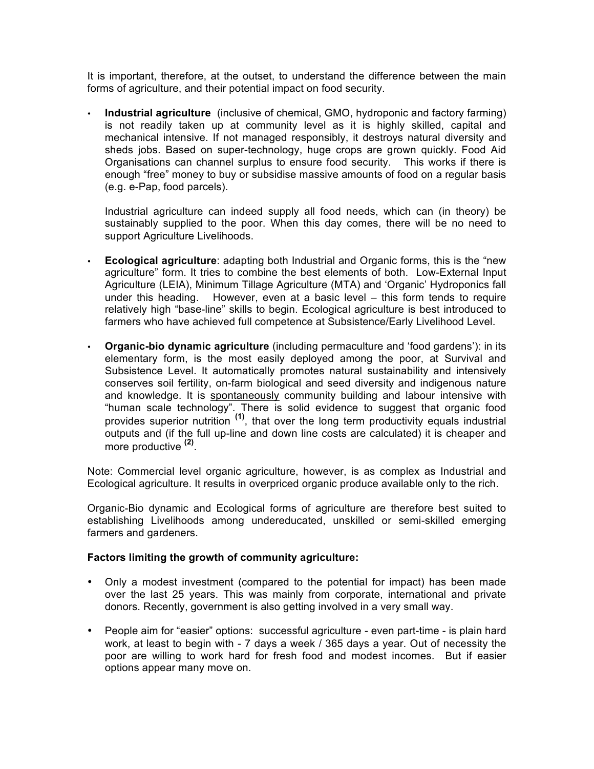It is important, therefore, at the outset, to understand the difference between the main forms of agriculture, and their potential impact on food security.

• **Industrial agriculture** (inclusive of chemical, GMO, hydroponic and factory farming) is not readily taken up at community level as it is highly skilled, capital and mechanical intensive. If not managed responsibly, it destroys natural diversity and sheds jobs. Based on super-technology, huge crops are grown quickly. Food Aid Organisations can channel surplus to ensure food security. This works if there is enough "free" money to buy or subsidise massive amounts of food on a regular basis (e.g. e-Pap, food parcels).

Industrial agriculture can indeed supply all food needs, which can (in theory) be sustainably supplied to the poor. When this day comes, there will be no need to support Agriculture Livelihoods.

- **Ecological agriculture**: adapting both Industrial and Organic forms, this is the "new agriculture" form. It tries to combine the best elements of both. Low-External Input Agriculture (LEIA), Minimum Tillage Agriculture (MTA) and 'Organic' Hydroponics fall under this heading. However, even at a basic level – this form tends to require relatively high "base-line" skills to begin. Ecological agriculture is best introduced to farmers who have achieved full competence at Subsistence/Early Livelihood Level.
- **Organic-bio dynamic agriculture** (including permaculture and 'food gardens'): in its elementary form, is the most easily deployed among the poor, at Survival and Subsistence Level. It automatically promotes natural sustainability and intensively conserves soil fertility, on-farm biological and seed diversity and indigenous nature and knowledge. It is spontaneously community building and labour intensive with "human scale technology". There is solid evidence to suggest that organic food provides superior nutrition **(1)**, that over the long term productivity equals industrial outputs and (if the full up-line and down line costs are calculated) it is cheaper and more productive **(2)**.

Note: Commercial level organic agriculture, however, is as complex as Industrial and Ecological agriculture. It results in overpriced organic produce available only to the rich.

Organic-Bio dynamic and Ecological forms of agriculture are therefore best suited to establishing Livelihoods among undereducated, unskilled or semi-skilled emerging farmers and gardeners.

### **Factors limiting the growth of community agriculture:**

- Only a modest investment (compared to the potential for impact) has been made over the last 25 years. This was mainly from corporate, international and private donors. Recently, government is also getting involved in a very small way.
- People aim for "easier" options: successful agriculture even part-time is plain hard work, at least to begin with - 7 days a week / 365 days a year. Out of necessity the poor are willing to work hard for fresh food and modest incomes. But if easier options appear many move on.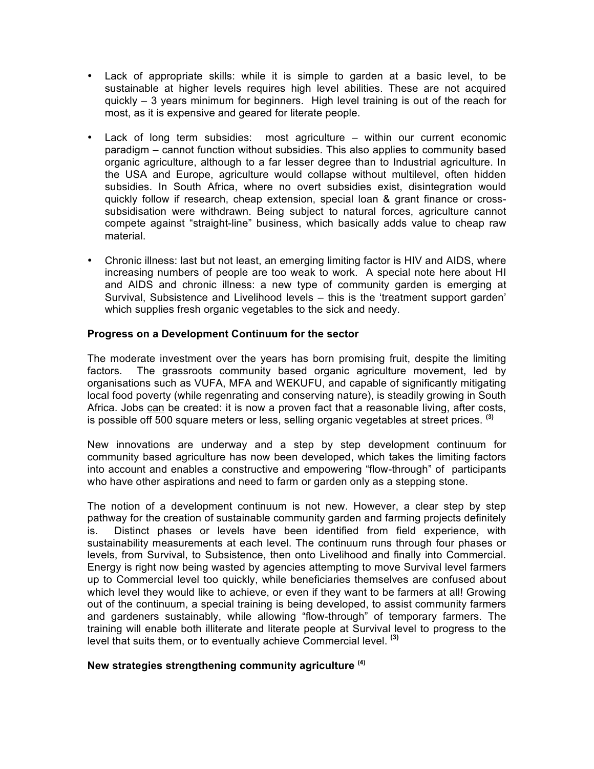- Lack of appropriate skills: while it is simple to garden at a basic level, to be sustainable at higher levels requires high level abilities. These are not acquired quickly – 3 years minimum for beginners. High level training is out of the reach for most, as it is expensive and geared for literate people.
- Lack of long term subsidies: most agriculture within our current economic paradigm – cannot function without subsidies. This also applies to community based organic agriculture, although to a far lesser degree than to Industrial agriculture. In the USA and Europe, agriculture would collapse without multilevel, often hidden subsidies. In South Africa, where no overt subsidies exist, disintegration would quickly follow if research, cheap extension, special loan & grant finance or crosssubsidisation were withdrawn. Being subject to natural forces, agriculture cannot compete against "straight-line" business, which basically adds value to cheap raw material.
- Chronic illness: last but not least, an emerging limiting factor is HIV and AIDS, where increasing numbers of people are too weak to work. A special note here about HI and AIDS and chronic illness: a new type of community garden is emerging at Survival, Subsistence and Livelihood levels – this is the 'treatment support garden' which supplies fresh organic vegetables to the sick and needy.

# **Progress on a Development Continuum for the sector**

The moderate investment over the years has born promising fruit, despite the limiting factors. The grassroots community based organic agriculture movement, led by organisations such as VUFA, MFA and WEKUFU, and capable of significantly mitigating local food poverty (while regenrating and conserving nature), is steadily growing in South Africa. Jobs can be created: it is now a proven fact that a reasonable living, after costs, is possible off 500 square meters or less, selling organic vegetables at street prices. **(3)**

New innovations are underway and a step by step development continuum for community based agriculture has now been developed, which takes the limiting factors into account and enables a constructive and empowering "flow-through" of participants who have other aspirations and need to farm or garden only as a stepping stone.

The notion of a development continuum is not new. However, a clear step by step pathway for the creation of sustainable community garden and farming projects definitely is. Distinct phases or levels have been identified from field experience, with sustainability measurements at each level. The continuum runs through four phases or levels, from Survival, to Subsistence, then onto Livelihood and finally into Commercial. Energy is right now being wasted by agencies attempting to move Survival level farmers up to Commercial level too quickly, while beneficiaries themselves are confused about which level they would like to achieve, or even if they want to be farmers at all! Growing out of the continuum, a special training is being developed, to assist community farmers and gardeners sustainably, while allowing "flow-through" of temporary farmers. The training will enable both illiterate and literate people at Survival level to progress to the level that suits them, or to eventually achieve Commercial level. **(3)**

### **New strategies strengthening community agriculture (4)**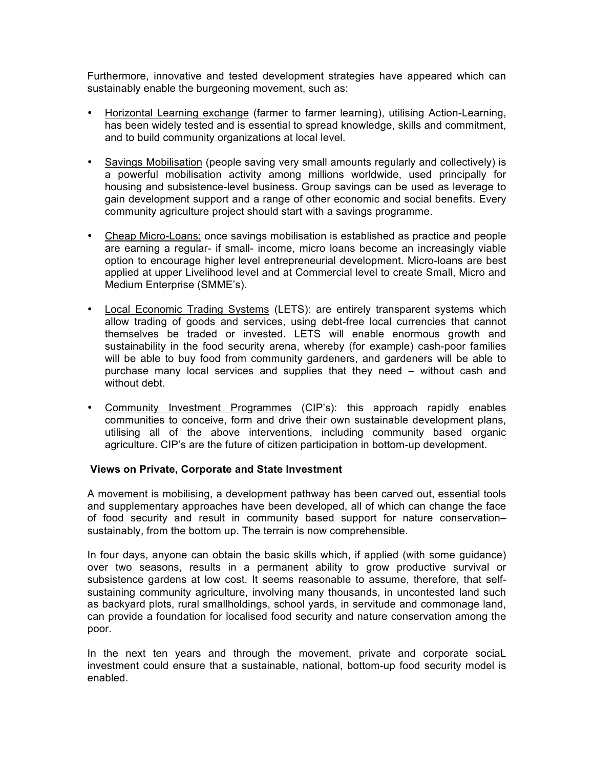Furthermore, innovative and tested development strategies have appeared which can sustainably enable the burgeoning movement, such as:

- Horizontal Learning exchange (farmer to farmer learning), utilising Action-Learning, has been widely tested and is essential to spread knowledge, skills and commitment, and to build community organizations at local level.
- Savings Mobilisation (people saving very small amounts regularly and collectively) is a powerful mobilisation activity among millions worldwide, used principally for housing and subsistence-level business. Group savings can be used as leverage to gain development support and a range of other economic and social benefits. Every community agriculture project should start with a savings programme.
- Cheap Micro-Loans: once savings mobilisation is established as practice and people are earning a regular- if small- income, micro loans become an increasingly viable option to encourage higher level entrepreneurial development. Micro-loans are best applied at upper Livelihood level and at Commercial level to create Small, Micro and Medium Enterprise (SMME's).
- Local Economic Trading Systems (LETS): are entirely transparent systems which allow trading of goods and services, using debt-free local currencies that cannot themselves be traded or invested. LETS will enable enormous growth and sustainability in the food security arena, whereby (for example) cash-poor families will be able to buy food from community gardeners, and gardeners will be able to purchase many local services and supplies that they need – without cash and without debt.
- Community Investment Programmes (CIP's): this approach rapidly enables communities to conceive, form and drive their own sustainable development plans, utilising all of the above interventions, including community based organic agriculture. CIP's are the future of citizen participation in bottom-up development.

### **Views on Private, Corporate and State Investment**

A movement is mobilising, a development pathway has been carved out, essential tools and supplementary approaches have been developed, all of which can change the face of food security and result in community based support for nature conservation– sustainably, from the bottom up. The terrain is now comprehensible.

In four days, anyone can obtain the basic skills which, if applied (with some guidance) over two seasons, results in a permanent ability to grow productive survival or subsistence gardens at low cost. It seems reasonable to assume, therefore, that selfsustaining community agriculture, involving many thousands, in uncontested land such as backyard plots, rural smallholdings, school yards, in servitude and commonage land, can provide a foundation for localised food security and nature conservation among the poor.

In the next ten years and through the movement, private and corporate sociaL investment could ensure that a sustainable, national, bottom-up food security model is enabled.